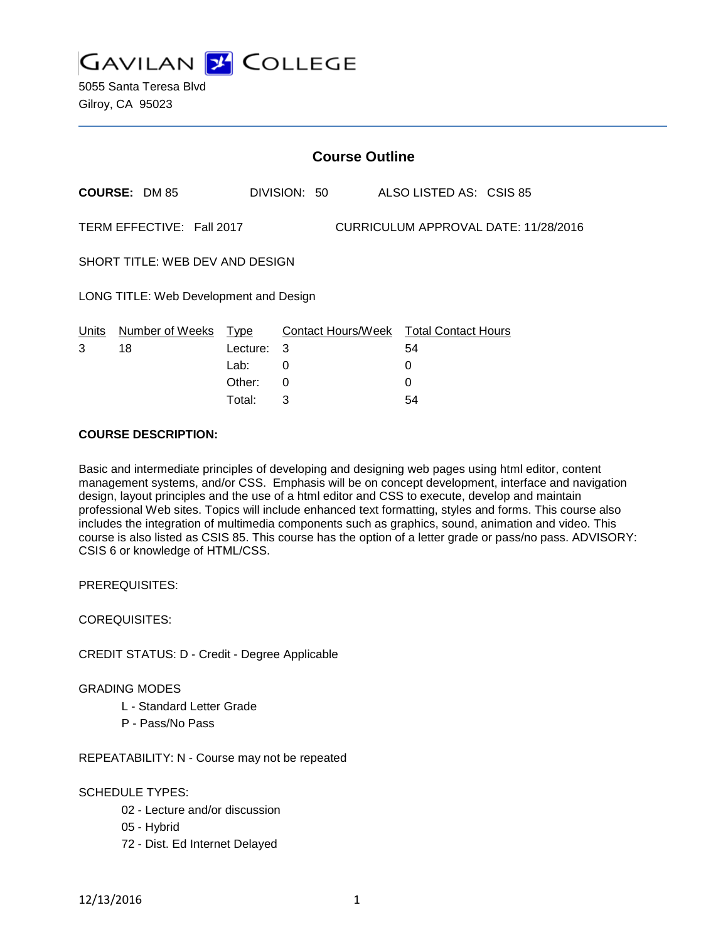

|                                                                   | <b>Course Outline</b> |          |              |  |                                        |  |
|-------------------------------------------------------------------|-----------------------|----------|--------------|--|----------------------------------------|--|
|                                                                   | <b>COURSE: DM 85</b>  |          | DIVISION: 50 |  | ALSO LISTED AS: CSIS 85                |  |
| TERM EFFECTIVE: Fall 2017<br>CURRICULUM APPROVAL DATE: 11/28/2016 |                       |          |              |  |                                        |  |
| SHORT TITLE: WEB DEV AND DESIGN                                   |                       |          |              |  |                                        |  |
| LONG TITLE: Web Development and Design                            |                       |          |              |  |                                        |  |
| Units                                                             | Number of Weeks Type  |          |              |  | Contact Hours/Week Total Contact Hours |  |
| 3                                                                 | 18                    | Lecture: | 3            |  | 54                                     |  |
|                                                                   |                       | Lab:     | 0            |  | 0                                      |  |
|                                                                   |                       | Other:   | 0            |  | 0                                      |  |

Total: 3 54

#### **COURSE DESCRIPTION:**

Basic and intermediate principles of developing and designing web pages using html editor, content management systems, and/or CSS. Emphasis will be on concept development, interface and navigation design, layout principles and the use of a html editor and CSS to execute, develop and maintain professional Web sites. Topics will include enhanced text formatting, styles and forms. This course also includes the integration of multimedia components such as graphics, sound, animation and video. This course is also listed as CSIS 85. This course has the option of a letter grade or pass/no pass. ADVISORY: CSIS 6 or knowledge of HTML/CSS.

PREREQUISITES:

COREQUISITES:

CREDIT STATUS: D - Credit - Degree Applicable

GRADING MODES

- L Standard Letter Grade
- P Pass/No Pass

REPEATABILITY: N - Course may not be repeated

SCHEDULE TYPES:

- 02 Lecture and/or discussion
- 05 Hybrid
- 72 Dist. Ed Internet Delayed

12/13/2016 1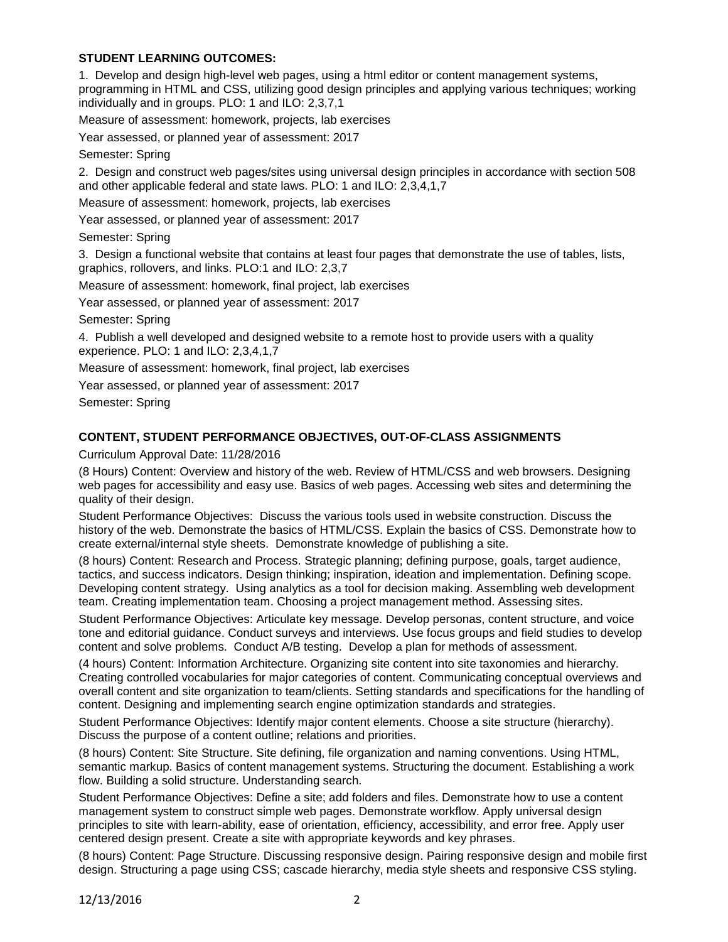# **STUDENT LEARNING OUTCOMES:**

1. Develop and design high-level web pages, using a html editor or content management systems, programming in HTML and CSS, utilizing good design principles and applying various techniques; working individually and in groups. PLO: 1 and ILO: 2,3,7,1

Measure of assessment: homework, projects, lab exercises

Year assessed, or planned year of assessment: 2017

Semester: Spring

2. Design and construct web pages/sites using universal design principles in accordance with section 508 and other applicable federal and state laws. PLO: 1 and ILO: 2,3,4,1,7

Measure of assessment: homework, projects, lab exercises

Year assessed, or planned year of assessment: 2017

Semester: Spring

3. Design a functional website that contains at least four pages that demonstrate the use of tables, lists, graphics, rollovers, and links. PLO:1 and ILO: 2,3,7

Measure of assessment: homework, final project, lab exercises

Year assessed, or planned year of assessment: 2017

Semester: Spring

4. Publish a well developed and designed website to a remote host to provide users with a quality experience. PLO: 1 and ILO: 2,3,4,1,7

Measure of assessment: homework, final project, lab exercises

Year assessed, or planned year of assessment: 2017

Semester: Spring

## **CONTENT, STUDENT PERFORMANCE OBJECTIVES, OUT-OF-CLASS ASSIGNMENTS**

Curriculum Approval Date: 11/28/2016

(8 Hours) Content: Overview and history of the web. Review of HTML/CSS and web browsers. Designing web pages for accessibility and easy use. Basics of web pages. Accessing web sites and determining the quality of their design.

Student Performance Objectives: Discuss the various tools used in website construction. Discuss the history of the web. Demonstrate the basics of HTML/CSS. Explain the basics of CSS. Demonstrate how to create external/internal style sheets. Demonstrate knowledge of publishing a site.

(8 hours) Content: Research and Process. Strategic planning; defining purpose, goals, target audience, tactics, and success indicators. Design thinking; inspiration, ideation and implementation. Defining scope. Developing content strategy. Using analytics as a tool for decision making. Assembling web development team. Creating implementation team. Choosing a project management method. Assessing sites.

Student Performance Objectives: Articulate key message. Develop personas, content structure, and voice tone and editorial guidance. Conduct surveys and interviews. Use focus groups and field studies to develop content and solve problems. Conduct A/B testing. Develop a plan for methods of assessment.

(4 hours) Content: Information Architecture. Organizing site content into site taxonomies and hierarchy. Creating controlled vocabularies for major categories of content. Communicating conceptual overviews and overall content and site organization to team/clients. Setting standards and specifications for the handling of content. Designing and implementing search engine optimization standards and strategies.

Student Performance Objectives: Identify major content elements. Choose a site structure (hierarchy). Discuss the purpose of a content outline; relations and priorities.

(8 hours) Content: Site Structure. Site defining, file organization and naming conventions. Using HTML, semantic markup. Basics of content management systems. Structuring the document. Establishing a work flow. Building a solid structure. Understanding search.

Student Performance Objectives: Define a site; add folders and files. Demonstrate how to use a content management system to construct simple web pages. Demonstrate workflow. Apply universal design principles to site with learn-ability, ease of orientation, efficiency, accessibility, and error free. Apply user centered design present. Create a site with appropriate keywords and key phrases.

(8 hours) Content: Page Structure. Discussing responsive design. Pairing responsive design and mobile first design. Structuring a page using CSS; cascade hierarchy, media style sheets and responsive CSS styling.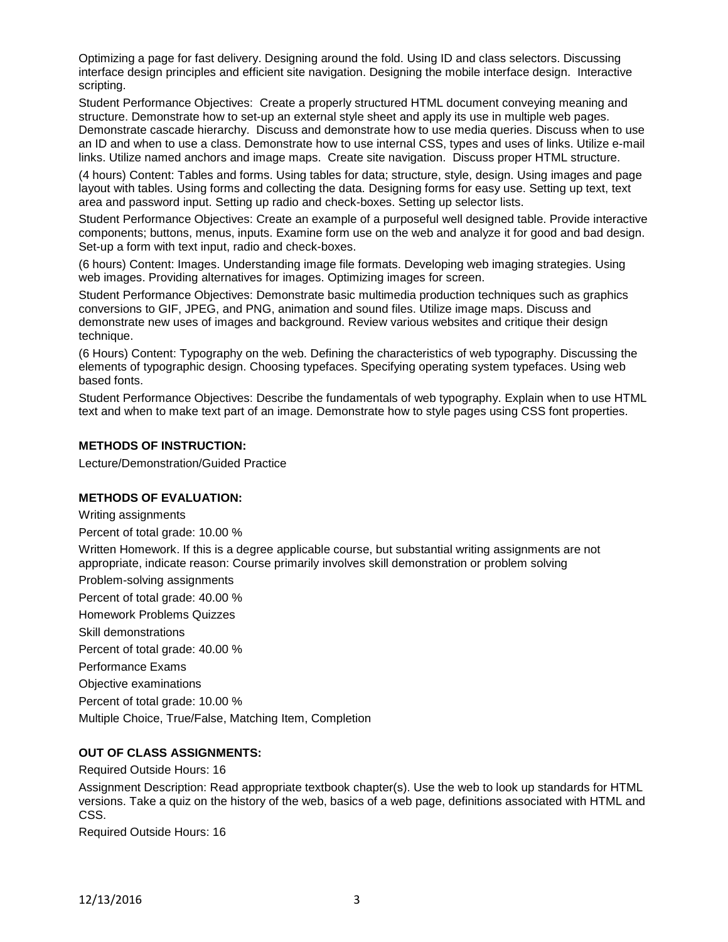Optimizing a page for fast delivery. Designing around the fold. Using ID and class selectors. Discussing interface design principles and efficient site navigation. Designing the mobile interface design. Interactive scripting.

Student Performance Objectives: Create a properly structured HTML document conveying meaning and structure. Demonstrate how to set-up an external style sheet and apply its use in multiple web pages. Demonstrate cascade hierarchy. Discuss and demonstrate how to use media queries. Discuss when to use an ID and when to use a class. Demonstrate how to use internal CSS, types and uses of links. Utilize e-mail links. Utilize named anchors and image maps. Create site navigation. Discuss proper HTML structure.

(4 hours) Content: Tables and forms. Using tables for data; structure, style, design. Using images and page layout with tables. Using forms and collecting the data. Designing forms for easy use. Setting up text, text area and password input. Setting up radio and check-boxes. Setting up selector lists.

Student Performance Objectives: Create an example of a purposeful well designed table. Provide interactive components; buttons, menus, inputs. Examine form use on the web and analyze it for good and bad design. Set-up a form with text input, radio and check-boxes.

(6 hours) Content: Images. Understanding image file formats. Developing web imaging strategies. Using web images. Providing alternatives for images. Optimizing images for screen.

Student Performance Objectives: Demonstrate basic multimedia production techniques such as graphics conversions to GIF, JPEG, and PNG, animation and sound files. Utilize image maps. Discuss and demonstrate new uses of images and background. Review various websites and critique their design technique.

(6 Hours) Content: Typography on the web. Defining the characteristics of web typography. Discussing the elements of typographic design. Choosing typefaces. Specifying operating system typefaces. Using web based fonts.

Student Performance Objectives: Describe the fundamentals of web typography. Explain when to use HTML text and when to make text part of an image. Demonstrate how to style pages using CSS font properties.

## **METHODS OF INSTRUCTION:**

Lecture/Demonstration/Guided Practice

#### **METHODS OF EVALUATION:**

Writing assignments

Percent of total grade: 10.00 %

Written Homework. If this is a degree applicable course, but substantial writing assignments are not appropriate, indicate reason: Course primarily involves skill demonstration or problem solving

Problem-solving assignments

Percent of total grade: 40.00 % Homework Problems Quizzes Skill demonstrations Percent of total grade: 40.00 % Performance Exams Objective examinations Percent of total grade: 10.00 %

Multiple Choice, True/False, Matching Item, Completion

# **OUT OF CLASS ASSIGNMENTS:**

Required Outside Hours: 16

Assignment Description: Read appropriate textbook chapter(s). Use the web to look up standards for HTML versions. Take a quiz on the history of the web, basics of a web page, definitions associated with HTML and CSS.

Required Outside Hours: 16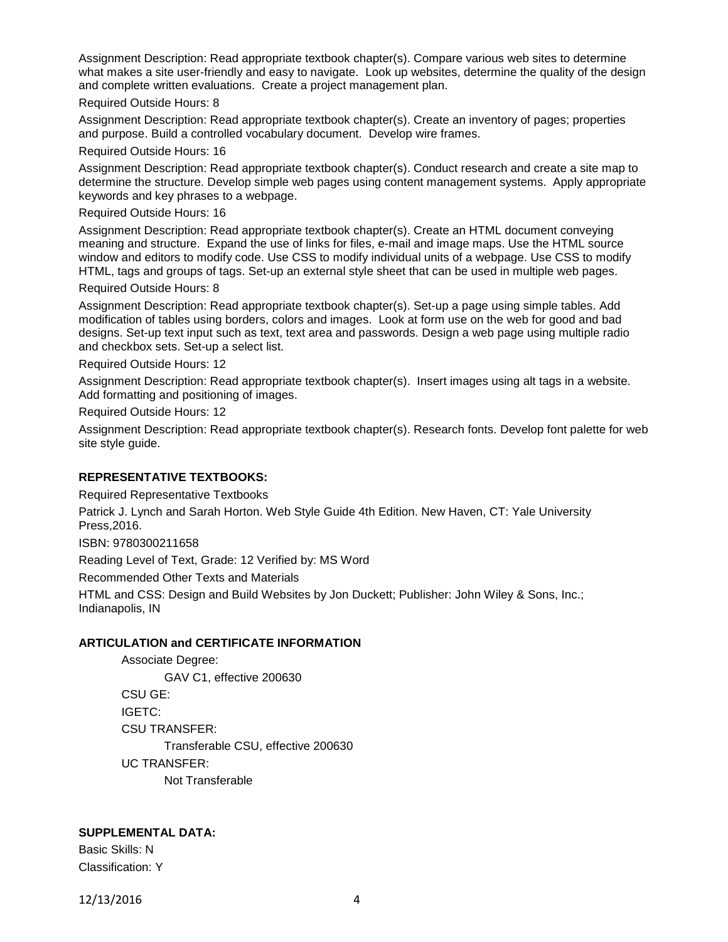Assignment Description: Read appropriate textbook chapter(s). Compare various web sites to determine what makes a site user-friendly and easy to navigate. Look up websites, determine the quality of the design and complete written evaluations. Create a project management plan.

Required Outside Hours: 8

Assignment Description: Read appropriate textbook chapter(s). Create an inventory of pages; properties and purpose. Build a controlled vocabulary document. Develop wire frames.

Required Outside Hours: 16

Assignment Description: Read appropriate textbook chapter(s). Conduct research and create a site map to determine the structure. Develop simple web pages using content management systems. Apply appropriate keywords and key phrases to a webpage.

Required Outside Hours: 16

Assignment Description: Read appropriate textbook chapter(s). Create an HTML document conveying meaning and structure. Expand the use of links for files, e-mail and image maps. Use the HTML source window and editors to modify code. Use CSS to modify individual units of a webpage. Use CSS to modify HTML, tags and groups of tags. Set-up an external style sheet that can be used in multiple web pages. Required Outside Hours: 8

Assignment Description: Read appropriate textbook chapter(s). Set-up a page using simple tables. Add modification of tables using borders, colors and images. Look at form use on the web for good and bad designs. Set-up text input such as text, text area and passwords. Design a web page using multiple radio and checkbox sets. Set-up a select list.

Required Outside Hours: 12

Assignment Description: Read appropriate textbook chapter(s). Insert images using alt tags in a website. Add formatting and positioning of images.

Required Outside Hours: 12

Assignment Description: Read appropriate textbook chapter(s). Research fonts. Develop font palette for web site style guide.

# **REPRESENTATIVE TEXTBOOKS:**

Required Representative Textbooks

Patrick J. Lynch and Sarah Horton. Web Style Guide 4th Edition. New Haven, CT: Yale University Press,2016.

ISBN: 9780300211658

Reading Level of Text, Grade: 12 Verified by: MS Word

Recommended Other Texts and Materials

HTML and CSS: Design and Build Websites by Jon Duckett; Publisher: John Wiley & Sons, Inc.; Indianapolis, IN

## **ARTICULATION and CERTIFICATE INFORMATION**

Associate Degree: GAV C1, effective 200630 CSU GE: IGETC: CSU TRANSFER: Transferable CSU, effective 200630 UC TRANSFER: Not Transferable

## **SUPPLEMENTAL DATA:**

Basic Skills: N Classification: Y

12/13/2016 4